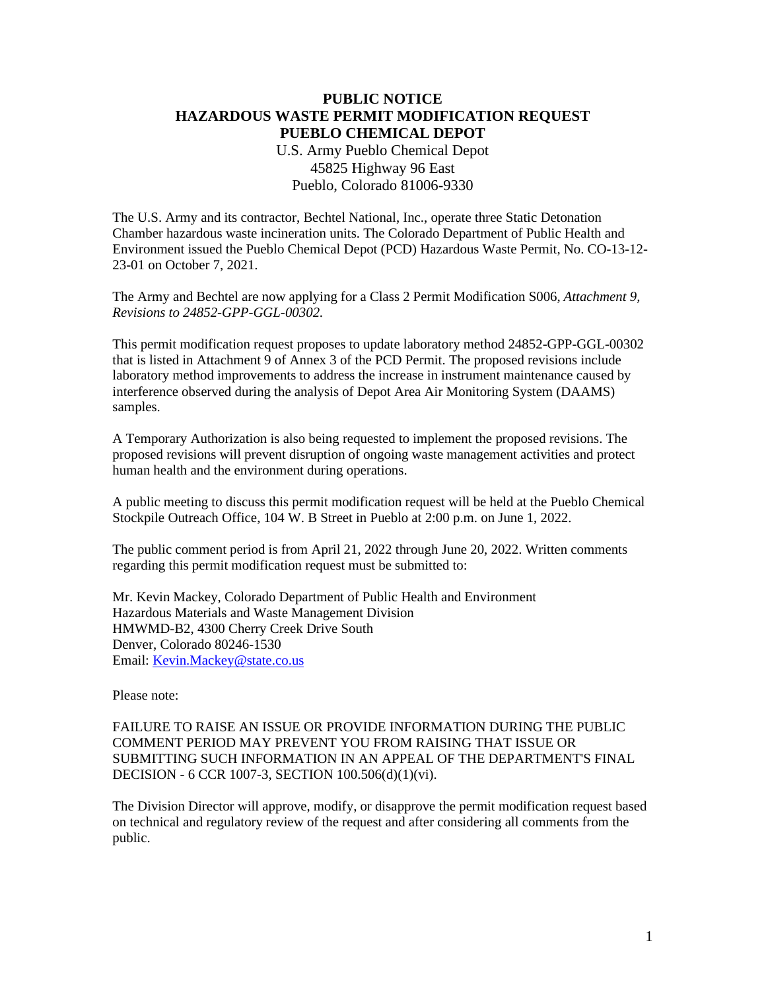## **PUBLIC NOTICE HAZARDOUS WASTE PERMIT MODIFICATION REQUEST PUEBLO CHEMICAL DEPOT**  U.S. Army Pueblo Chemical Depot 45825 Highway 96 East Pueblo, Colorado 81006-9330

The U.S. Army and its contractor, Bechtel National, Inc., operate three Static Detonation Chamber hazardous waste incineration units. The Colorado Department of Public Health and Environment issued the Pueblo Chemical Depot (PCD) Hazardous Waste Permit, No. CO-13-12- 23-01 on October 7, 2021.

The Army and Bechtel are now applying for a Class 2 Permit Modification S006, *Attachment 9, Revisions to 24852-GPP-GGL-00302.*

This permit modification request proposes to update laboratory method 24852-GPP-GGL-00302 that is listed in Attachment 9 of Annex 3 of the PCD Permit. The proposed revisions include laboratory method improvements to address the increase in instrument maintenance caused by interference observed during the analysis of Depot Area Air Monitoring System (DAAMS) samples.

A Temporary Authorization is also being requested to implement the proposed revisions. The proposed revisions will prevent disruption of ongoing waste management activities and protect human health and the environment during operations.

A public meeting to discuss this permit modification request will be held at the Pueblo Chemical Stockpile Outreach Office, 104 W. B Street in Pueblo at 2:00 p.m. on June 1, 2022.

The public comment period is from April 21, 2022 through June 20, 2022. Written comments regarding this permit modification request must be submitted to:

Mr. Kevin Mackey, Colorado Department of Public Health and Environment Hazardous Materials and Waste Management Division HMWMD-B2, 4300 Cherry Creek Drive South Denver, Colorado 80246-1530 Email: [Kevin.Mackey@state.co.us](mailto:Kevin.Mackey@state.co.us)

Please note:

FAILURE TO RAISE AN ISSUE OR PROVIDE INFORMATION DURING THE PUBLIC COMMENT PERIOD MAY PREVENT YOU FROM RAISING THAT ISSUE OR SUBMITTING SUCH INFORMATION IN AN APPEAL OF THE DEPARTMENT'S FINAL DECISION - 6 CCR 1007-3, SECTION 100.506(d)(1)(vi).

The Division Director will approve, modify, or disapprove the permit modification request based on technical and regulatory review of the request and after considering all comments from the public.